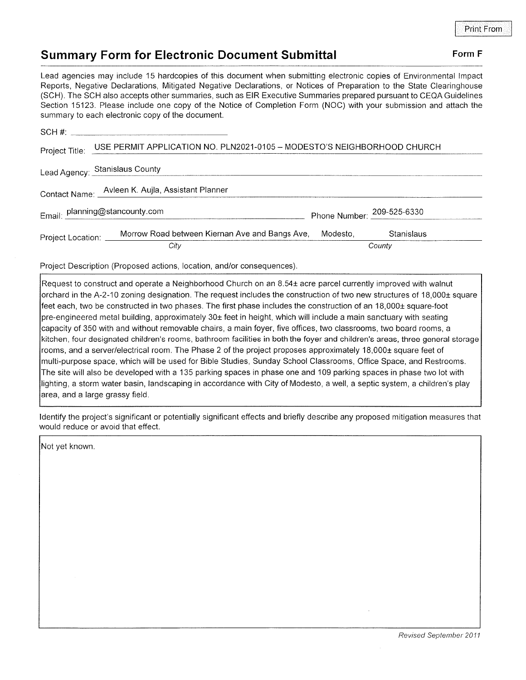## Summary Form for Electronic Document Submittal Form F

Lead agencies may include 15 hardcopies of this document when submitting electronic copies of Environmental lmpact Reports, Negative Declarations, Mitigated Negative Declarations, or Notices of Preparation to the State Clearinghouse (SCH). The SCH also accepts other summaries, such as EIR Executive Summaries prepared pursuant to CEQA Guidelines Section 15123. Please include one copy of the Notice of Completion Form (NOC) with your submission and attach the summary to each electronic copy of the document.

| Project Title:                                   | USE PERMIT APPLICATION NO. PLN2021-0105 - MODESTO'S NEIGHBORHOOD CHURCH |                            |            |  |
|--------------------------------------------------|-------------------------------------------------------------------------|----------------------------|------------|--|
|                                                  | Lead Agency: Stanislaus County                                          |                            |            |  |
| Contact Name: Avieen K. Aujla, Assistant Planner |                                                                         |                            |            |  |
| Email: planning@stancounty.com                   |                                                                         | Phone Number: 209-525-6330 |            |  |
| Project Location: ___                            | Morrow Road between Kiernan Ave and Bangs Ave,                          | Modesto.                   | Stanislaus |  |
|                                                  | City                                                                    | County                     |            |  |

Project Description (Proposed actions, location, and/or consequences)

Request to construct and operate a Neighborhood Church on an 8.54t acre parcel currently improved with walnut orchard in the A-2-10 zoning designation. The request includes the construction of two new structures of 18,000± square feet each, two be constructed in two phases. The first phase includes the construction of an 18,000± square-foot pre-engineered metal building, approximately 30± feet in height, which will include a main sanctuary with seating capacity of 350 with and without removable chairs, a main foyer, five offices, two classrooms, two board rooms, a kitchen, four designated children's rooms, bathroom facilities in both the foyer and children's areas, three general storage rooms, and a server/electrical room. The Phase 2 of the project proposes approximately 18,000± square feet of multi-purpose space, which will be used for Bible Studies, Sunday School Classrooms, Office Space, and Restrooms. The site will also be developed with a 135 parking spaces in phase one and 109 parking spaces in phase two lotwith lighting, a storm water basin, landscaping in accordance with City of Modesto, a well, a septic system, a children's play area, and a large grassy field.

ldentify the project's significant or potentially significant effects and briefly describe any proposed mitigation measures that would reduce or avoid that effect.

Not yet known